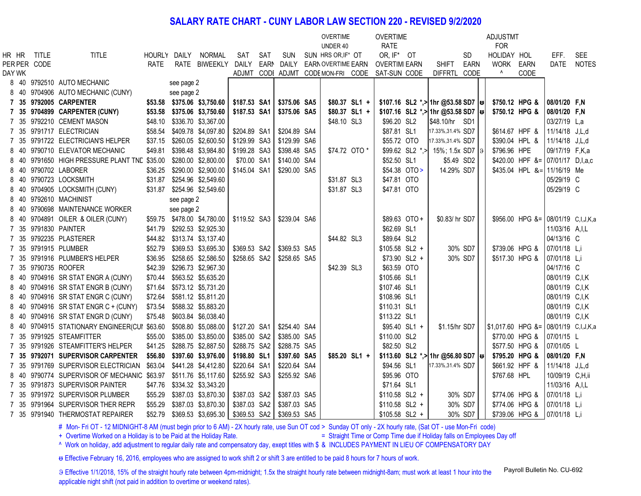## **SALARY RATE CHART - CUNY LABOR LAW SECTION 220 - REVISED 9/2/2020**

|        |              |                                                                  |         |            |                             |              |             |              | <b>OVERTIME</b>                   |               | <b>OVERTIME</b>     |                   |                                                     |             |    | <b>ADJUSTMT</b>                      |                                    |                  |              |
|--------|--------------|------------------------------------------------------------------|---------|------------|-----------------------------|--------------|-------------|--------------|-----------------------------------|---------------|---------------------|-------------------|-----------------------------------------------------|-------------|----|--------------------------------------|------------------------------------|------------------|--------------|
|        |              |                                                                  |         |            |                             |              |             |              | UNDER 40                          |               | <b>RATE</b>         |                   |                                                     |             |    | <b>FOR</b>                           |                                    |                  |              |
|        | hr hr title  | <b>TITLE</b>                                                     |         |            | HOURLY DAILY NORMAL         | SAT          | SAT         | <b>SUN</b>   | SUN HRS OR, IF* OT                |               | OR, IF* OT          |                   |                                                     | <b>SD</b>   |    | HOLIDAY HOL                          |                                    | EFF.             | <b>SEE</b>   |
|        | PER PER CODE |                                                                  | RATE    |            | RATE BIWEEKLY               | <b>DAILY</b> | <b>EARM</b> | DAILY        | <b>EARN OVERTIME EARN</b>         |               | <b>OVERTIMIEARN</b> |                   | <b>SHIFT</b>                                        | <b>EARN</b> |    | <b>WORK</b>                          | EARN                               | <b>DATE</b>      | <b>NOTES</b> |
| DAY WK |              |                                                                  |         |            |                             |              |             |              | ADJMT CODI ADJMT CODEMON-FRI CODE |               | SAT-SUN CODE        |                   | <b>DIFFRTL</b>                                      | CODE        |    | ۸                                    | CODE                               |                  |              |
|        |              | 8 40 9792510 AUTO MECHANIC                                       |         | see page 2 |                             |              |             |              |                                   |               |                     |                   |                                                     |             |    |                                      |                                    |                  |              |
|        |              | 8 40 9704906 AUTO MECHANIC (CUNY)                                |         | see page 2 |                             |              |             |              |                                   |               |                     |                   |                                                     |             |    |                                      |                                    |                  |              |
|        |              | 7 35 9792005 CARPENTER                                           |         |            | \$53.58 \$375.06 \$3,750.60 | \$187.53 SA1 |             | \$375.06 SA5 | \$80.37 SL1 +                     |               |                     |                   | \$107.16 SL2 *,> 1hr @53.58 SD7   $\leftrightarrow$ |             |    | \$750.12 HPG &                       |                                    | 08/01/20 F,N     |              |
|        |              | 7 35 9704899 CARPENTER (CUNY)                                    |         |            | \$53.58 \$375.06 \$3,750.60 | \$187.53 SA1 |             | \$375.06 SA5 | \$80.37 SL1 +                     |               |                     |                   | \$107.16 SL2 *,> 1hr @53.58 SD7                     |             | lə | \$750.12 HPG &                       |                                    | 08/01/20 F,N     |              |
|        |              | 7 35 9792210 CEMENT MASON                                        |         |            | \$48.10 \$336.70 \$3,367.00 |              |             |              | \$48.10 SL3                       |               | \$96.20 SL2         |                   | \$48.10/hr SD1                                      |             |    |                                      |                                    | 03/27/19 L,a     |              |
|        |              | 7 35 9791717 ELECTRICIAN                                         |         |            | \$58.54 \$409.78 \$4,097.80 | \$204.89 SA1 |             | \$204.89 SA4 |                                   |               | \$87.81 SL1         |                   | 17.33%, 31.4% SD7                                   |             |    | \$614.67 HPF &                       |                                    | 11/14/18 J,L,d   |              |
|        |              | 7 35 9791722 ELECTRICIAN'S HELPER                                |         |            | \$37.15 \$260.05 \$2,600.50 | \$129.99 SA3 |             | \$129.99 SA6 |                                   |               | \$55.72 OTO         |                   | 17.33%, 31.4% SD7                                   |             |    | \$390.04 HPL &                       |                                    | 11/14/18 J,L,d   |              |
|        |              | 8 40 9790710 ELEVATOR MECHANIC                                   | \$49.81 |            | \$398.48 \$3,984.80         | \$199.28 SA3 |             | \$398.48 SA5 | \$74.72 OTO *                     |               |                     | $$99.62$ SL2 *, > | 15%; 1.5x SD7                                       |             |    | \$796.96 HPE                         |                                    | 09/17/19 F,K,a   |              |
|        |              | 8 40 9791650 HIGH PRESSURE PLANT TNE \$35.00                     |         |            | \$280.00 \$2,800.00         | \$70.00 SA1  |             | \$140.00 SA4 |                                   |               | \$52.50 SL1         |                   | \$5.49 SD2                                          |             |    |                                      | \$420.00 HPF &= 07/01/17 D,I,a,c   |                  |              |
|        |              | 8 40 9790702 LABORER                                             |         |            | \$36.25 \$290.00 \$2,900.00 | \$145.04 SA1 |             | \$290.00 SA5 |                                   |               | \$54.38 OTO >       |                   | 14.29% SD7                                          |             |    |                                      | $$435.04$ HPL &= 11/16/19 Me       |                  |              |
|        |              | 8 40 9790723 LOCKSMITH                                           |         |            | \$31.87 \$254.96 \$2,549.60 |              |             |              | \$31.87 SL3                       |               | \$47.81 OTO         |                   |                                                     |             |    |                                      |                                    | 05/29/19 C       |              |
|        |              | 8 40 9704905 LOCKSMITH (CUNY)                                    |         |            | \$31.87 \$254.96 \$2,549.60 |              |             |              | \$31.87 SL3                       |               | \$47.81 OTO         |                   |                                                     |             |    |                                      |                                    | 05/29/19 C       |              |
|        |              | 8 40 9792610 MACHINIST                                           |         | see page 2 |                             |              |             |              |                                   |               |                     |                   |                                                     |             |    |                                      |                                    |                  |              |
|        |              | 8 40 9790698 MAINTENANCE WORKER                                  |         | see page 2 |                             |              |             |              |                                   |               |                     |                   |                                                     |             |    |                                      |                                    |                  |              |
|        |              | 8 40 9704891 OILER & OILER (CUNY)                                |         |            | \$59.75 \$478.00 \$4,780.00 | \$119.52 SA3 |             | \$239.04 SA6 |                                   |               | \$89.63 OTO +       |                   | \$0.83/ hr SD7                                      |             |    |                                      | \$956.00 HPG &= 08/01/19 C,I,J,K,a |                  |              |
|        |              | 7 35 9791830 PAINTER                                             |         |            | \$41.79 \$292.53 \$2,925.30 |              |             |              |                                   |               | \$62.69 SL1         |                   |                                                     |             |    |                                      |                                    | 11/03/16 A, I, L |              |
|        |              | 7 35 9792235 PLASTERER                                           |         |            | \$44.82 \$313.74 \$3,137.40 |              |             |              | \$44.82 SL3                       |               | \$89.64 SL2         |                   |                                                     |             |    |                                      |                                    | 04/13/16 C       |              |
|        |              | 7 35 9791915 PLUMBER                                             |         |            | \$52.79 \$369.53 \$3,695.30 | \$369.53 SA2 |             | \$369.53 SA5 |                                   |               | \$105.58 SL2 +      |                   |                                                     | 30% SD7     |    | \$739.06 HPG &                       |                                    | 07/01/18 L,i     |              |
|        |              | 7 35 9791916 PLUMBER'S HELPER                                    |         |            | \$36.95 \$258.65 \$2,586.50 | \$258.65 SA2 |             | \$258.65 SA5 |                                   |               | \$73.90 SL2 +       |                   |                                                     | 30% SD7     |    | \$517.30 HPG &                       |                                    | 07/01/18 L,i     |              |
|        |              | 7 35 9790735 ROOFER                                              |         |            | \$42.39 \$296.73 \$2,967.30 |              |             |              | \$42.39 SL3                       |               | \$63.59 OTO         |                   |                                                     |             |    |                                      |                                    | 04/17/16 C       |              |
|        |              | 8 40 9704916 SR STAT ENGR A (CUNY)                               | \$70.44 |            | \$563.52 \$5,635.20         |              |             |              |                                   |               | \$105.66 SL1        |                   |                                                     |             |    |                                      |                                    | 08/01/19 C,I,K   |              |
|        |              | 8 40 9704916 SR STAT ENGR B (CUNY)                               | \$71.64 |            | \$573.12 \$5,731.20         |              |             |              |                                   |               | \$107.46 SL1        |                   |                                                     |             |    |                                      |                                    | 08/01/19 C,I,K   |              |
|        |              | 8 40 9704916 SR STAT ENGR C (CUNY)                               |         |            | \$72.64 \$581.12 \$5,811.20 |              |             |              |                                   |               | \$108.96 SL1        |                   |                                                     |             |    |                                      |                                    | 08/01/19 C,I,K   |              |
|        |              | 8 40 9704916 SR STAT ENGR C + (CUNY)                             |         |            | \$73.54 \$588.32 \$5,883.20 |              |             |              |                                   |               | \$110.31 SL1        |                   |                                                     |             |    |                                      |                                    | 08/01/19 C,I,K   |              |
|        |              | 8 40 9704916 SR STAT ENGR D (CUNY)                               |         |            | \$75.48 \$603.84 \$6,038.40 |              |             |              |                                   |               | \$113.22 SL1        |                   |                                                     |             |    |                                      |                                    | 08/01/19 C,I,K   |              |
|        |              | 8 40 9704915 STATIONARY ENGINEER(CUI \$63.60 \$508.80 \$5,088.00 |         |            |                             | \$127.20 SA1 |             | \$254.40 SA4 |                                   |               | \$95.40 SL1 +       |                   | \$1.15/hr SD7                                       |             |    | \$1,017.60 HPG &= 08/01/19 C,I,J,K,a |                                    |                  |              |
|        |              | 7 35 9791925 STEAMFITTER                                         |         |            | \$55.00 \$385.00 \$3,850.00 | \$385.00 SA2 |             | \$385.00 SA5 |                                   |               | \$110.00 SL2        |                   |                                                     |             |    | \$770.00 HPG &                       |                                    | 07/01/15 L       |              |
|        |              | 7 35 9791926 STEAMFITTER'S HELPER                                |         |            | \$41.25 \$288.75 \$2,887.50 | \$288.75 SA2 |             | \$288.75 SA5 |                                   |               | \$82.50 SL2         |                   |                                                     |             |    | \$577.50 HPG &                       |                                    | 07/01/05 L       |              |
|        |              | 7 35 9792071 SUPERVISOR CARPENTER                                |         |            | \$56.80 \$397.60 \$3,976.00 | \$198.80 SL1 |             | \$397.60 SA5 |                                   | \$85.20 SL1 + |                     |                   | \$113.60 SL2 *,> 1hr @56.80 SD7   &                 |             |    | \$795.20 HPG &                       |                                    | 08/01/20 F,N     |              |
|        |              | 7 35 9791769 SUPERVISOR ELECTRICIAN                              | \$63.04 |            | \$441.28 \$4,412.80         | \$220.64 SA1 |             | \$220.64 SA4 |                                   |               | \$94.56 SL1         |                   | 17.33%, 31.4% SD7                                   |             |    | \$661.92 HPF &                       |                                    | 11/14/18 J,L,d   |              |
|        |              | 8 40 9790774 SUPERVISOR OF MECHANIC \$63.97 \$511.76 \$5,117.60  |         |            |                             | \$255.92 SA3 |             | \$255.92 SA6 |                                   |               | \$95.96 OTO         |                   |                                                     |             |    | \$767.68 HPL                         |                                    | 10/09/19 C,H,ii  |              |
|        |              | 7 35 9791873 SUPERVISOR PAINTER                                  |         |            |                             |              |             |              |                                   |               | \$71.64 SL1         |                   |                                                     |             |    |                                      |                                    | 11/03/16 A, I, L |              |
|        |              | 7 35 9791972 SUPERVISOR PLUMBER                                  |         |            | \$55.29 \$387.03 \$3,870.30 | \$387.03 SA2 |             | \$387.03 SA5 |                                   |               | \$110.58 SL2 +      |                   |                                                     | 30% SD7     |    | \$774.06 HPG &                       |                                    | 07/01/18 L,i     |              |
|        |              | 7 35 9791964 SUPERVISOR THER REPR                                | \$55.29 |            | \$387.03 \$3,870.30         | \$387.03 SA2 |             | \$387.03 SA5 |                                   |               | \$110.58 SL2 +      |                   |                                                     | 30% SD7     |    | \$774.06 HPG &                       |                                    | 07/01/18 L,i     |              |
|        |              | 7 35 9791940 THERMOSTAT REPAIRER                                 | \$52.79 |            | \$369.53 \$3,695.30         | \$369.53 SA2 |             | \$369.53 SA5 |                                   |               | \$105.58 SL2 +      |                   |                                                     | 30% SD7     |    | \$739.06 HPG &                       |                                    | 07/01/18 L,i     |              |

# Mon- Fri OT - 12 MIDNIGHT-8 AM (must begin prior to 6 AM) - 2X hourly rate, use Sun OT cod > Sunday OT only - 2X hourly rate, (Sat OT - use Mon-Fri code)

+ Overtime Worked on a Holiday is to be Paid at the Holiday Rate. <br>= Straight Time or Comp Time due if Holiday falls on Employees Day off

^ Work on holiday, add adjustment to regular daily rate and compensatory day, exept titles with \$ & INCLUDES PAYMENT IN LIEU OF COMPENSATORY DAY

ᵿ Effective February 16, 2016, employees who are assigned to work shift 2 or shift 3 are entitled to be paid 8 hours for 7 hours of work.

ϑ Effective 1/1/2018, 15% of the straight hourly rate between 4pm-midnight; 1.5x the straight hourly rate between midnight-8am; must work at least 1 hour into the applicable night shift (not paid in addition to overtime or weekend rates). Payroll Bulletin No. CU-692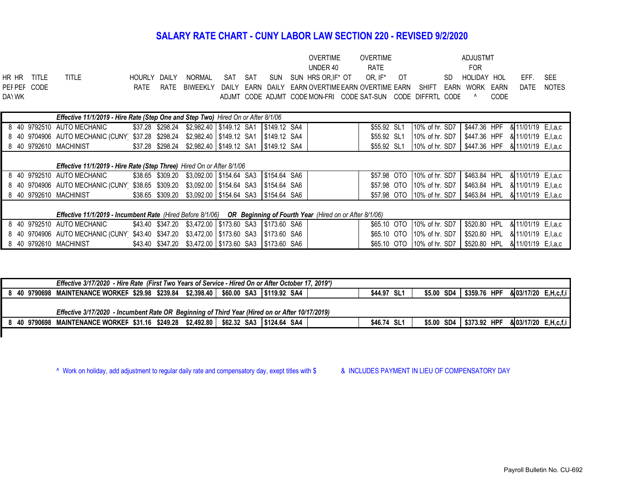# **SALARY RATE CHART - CUNY LABOR LAW SECTION 220 - REVISED 9/2/2020**

|             |        |        |       |  |  | OVERTIME                                                                                  | OVERTIME |  | ADJUSTMT       |      |            |  |
|-------------|--------|--------|-------|--|--|-------------------------------------------------------------------------------------------|----------|--|----------------|------|------------|--|
|             |        |        |       |  |  | UNDER 40                                                                                  | RATE     |  | FOR.           |      |            |  |
| HR HR TITLE | TITI F | HOURLY | DAILY |  |  | NORMAL SAT SAT SUN SUNHRSOR.IF*OT OR.IF*OT                                                |          |  | SD HOLIDAY HOL |      | EFF. SEE   |  |
| PEFPEF CODE |        |        |       |  |  | RATE RATE BIWEEKLY DAILY EARN DAILY EARN OVERTIME EARN OVERTIME EARN SHIFT EARN WORK EARN |          |  |                |      | DATF NOTFS |  |
| DAYWK       |        |        |       |  |  | ADJMT CODE ADJMT CODE MON-FRI CODE SAT-SUN CODE DIFFRTL CODE ^                            |          |  |                | CODE |            |  |
|             |        |        |       |  |  |                                                                                           |          |  |                |      |            |  |

| Effective 11/1/2019 - Hire Rate (Step One and Step Two) Hired On or After 8/1/06                                  |                                                                                        |  |                  |  |  |  |                                                       |  |  |             |  |                            |              |                       |  |
|-------------------------------------------------------------------------------------------------------------------|----------------------------------------------------------------------------------------|--|------------------|--|--|--|-------------------------------------------------------|--|--|-------------|--|----------------------------|--------------|-----------------------|--|
|                                                                                                                   | 8   40   9792510   AUTO MECHANIC                                                       |  | \$37.28 \$298.24 |  |  |  | \$2,982.40 \$149.12 SA1 \$149.12 SA4                  |  |  | \$55.92 SL1 |  | 10% of hr. SD7             | \$447.36 HPF | & 11/01/19 E, I, a, c |  |
|                                                                                                                   | 8 40 9704906 AUTO MECHANIC (CUNY                                                       |  |                  |  |  |  | \$37.28 \$298.24 \$2,982.40 \$149.12 SA1 \$149.12 SA4 |  |  | \$55.92 SL1 |  | 10% of hr. SD7             | \$447.36 HPF | & 11/01/19 E.I.a.c    |  |
|                                                                                                                   | 8 40 9792610 MACHINIST                                                                 |  |                  |  |  |  | \$37.28 \$298.24 \$2,982.40 \$149.12 SA1 \$149.12 SA4 |  |  | \$55.92 SL1 |  | 10% of hr. SD7             | \$447.36 HPF | & 11/01/19 E, I, a, c |  |
|                                                                                                                   |                                                                                        |  |                  |  |  |  |                                                       |  |  |             |  |                            |              |                       |  |
| <b>Effective 11/1/2019 - Hire Rate (Step Three)</b> Hired On or After 8/1/06                                      |                                                                                        |  |                  |  |  |  |                                                       |  |  |             |  |                            |              |                       |  |
|                                                                                                                   | 8 40 9792510 AUTO MECHANIC                                                             |  |                  |  |  |  | \$38.65 \$309.20 \$3,092.00 \$154.64 SA3 \$154.64 SA6 |  |  |             |  | \$57.98 OTO 10% of hr. SD7 | \$463.84 HPL | & 11/01/19 E, I, a, c |  |
|                                                                                                                   | 8 40 9704906 AUTO MECHANIC (CUNY \$38.65 \$309.20 \$3,092.00 \$154.64 SA3              |  |                  |  |  |  | S154.64 SA6                                           |  |  |             |  | \$57.98 OTO 10% of hr. SD7 | \$463.84 HPL | & 11/01/19 E.I.a.c    |  |
|                                                                                                                   | 8 40 9792610 MACHINIST                                                                 |  |                  |  |  |  | \$38.65 \$309.20 \$3,092.00 \$154.64 SA3 \$154.64 SA6 |  |  |             |  | \$57.98 OTO 10% of hr. SD7 | \$463.84 HPL | & 11/01/19 E, I, a, c |  |
|                                                                                                                   |                                                                                        |  |                  |  |  |  |                                                       |  |  |             |  |                            |              |                       |  |
| Effective 11/1/2019 - Incumbent Rate (Hired Before 8/1/06) OR Beginning of Fourth Year (Hired on or After 8/1/06) |                                                                                        |  |                  |  |  |  |                                                       |  |  |             |  |                            |              |                       |  |
|                                                                                                                   | 8 40 9792510 AUTO MECHANIC                                                             |  |                  |  |  |  | \$43.40 \$347.20 \$3,472.00 \$173.60 SA3 \$173.60 SA6 |  |  |             |  | \$65.10 OTO 10% of hr. SD7 | \$520.80 HPL | & 11/01/19 E, I, a, c |  |
|                                                                                                                   | 8 40 9704906 AUTO MECHANIC (CUNY \$43.40 \$347.20 \$3,472.00 \$173.60 SA3 \$173.60 SA6 |  |                  |  |  |  |                                                       |  |  |             |  | \$65.10 OTO 10% of hr. SD7 | \$520.80 HPL | & 11/01/19 E, I, a, c |  |
|                                                                                                                   | 8 40 9792610 MACHINIST                                                                 |  |                  |  |  |  | \$43.40 \$347.20 \$3,472.00 \$173.60 SA3 \$173.60 SA6 |  |  |             |  | \$65.10 OTO 10% of hr. SD7 | \$520.80 HPL | & 11/01/19 E, I, a, c |  |

| Effective 3/17/2020 - Hire Rate (First Two Years of Service - Hired On or After October 17, 2019*) |             |  |  |                                                  |  |  |  |  |  |  |  |  |
|----------------------------------------------------------------------------------------------------|-------------|--|--|--------------------------------------------------|--|--|--|--|--|--|--|--|
| 8 40 9790698 MAINTENANCE WORKEF \$29.98 \$239.84 \$2,398.40   \$60.00 SA3   \$119.92 SA4           | \$44.97 SL1 |  |  | \$5.00 SD4 \$359.76 HPF & 03/17/20 E, H, c, f, i |  |  |  |  |  |  |  |  |
|                                                                                                    |             |  |  |                                                  |  |  |  |  |  |  |  |  |
| Effective 3/17/2020 - Incumbent Rate OR Beginning of Third Year (Hired on or After 10/17/2019)     |             |  |  |                                                  |  |  |  |  |  |  |  |  |
| 8 40 9790698 MAINTENANCE WORKEF \$31.16 \$249.28 \$2,492.80   \$62.32 SA3  \$124.64 SA4            | \$46.74 SL1 |  |  | \$5.00 SD4 \$373.92 HPF & 03/17/20 E, H, c, f, i |  |  |  |  |  |  |  |  |

^ Work on holiday, add adjustment to regular daily rate and compensatory day, exept titles with \$ & INCLUDES PAYMENT IN LIEU OF COMPENSATORY DAY